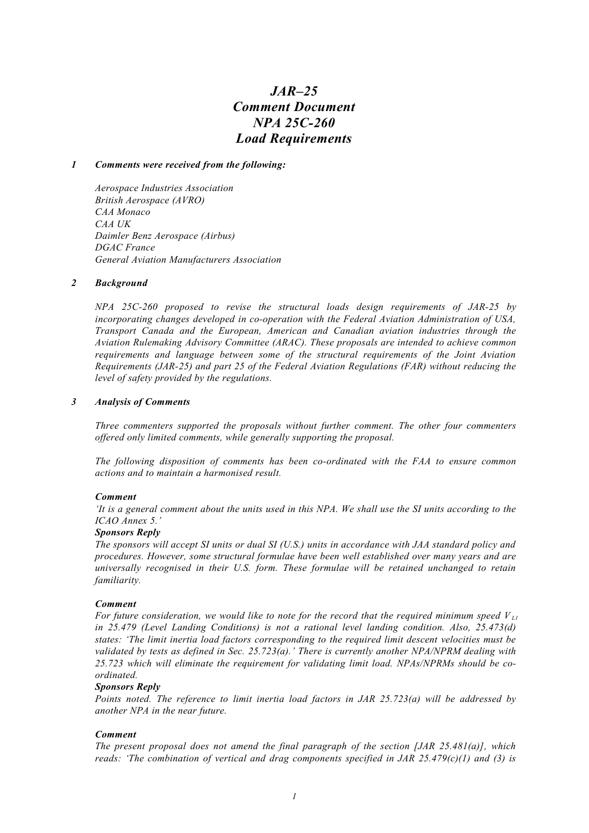# *JAR–25 Comment Document NPA 25C-260 Load Requirements*

## *1 Comments were received from the following:*

*Aerospace Industries Association British Aerospace (AVRO) CAA Monaco CAA UK Daimler Benz Aerospace (Airbus) DGAC France General Aviation Manufacturers Association*

## *2 Background*

*NPA 25C-260 proposed to revise the structural loads design requirements of JAR-25 by incorporating changes developed in co-operation with the Federal Aviation Administration of USA, Transport Canada and the European, American and Canadian aviation industries through the Aviation Rulemaking Advisory Committee (ARAC). These proposals are intended to achieve common requirements and language between some of the structural requirements of the Joint Aviation Requirements (JAR-25) and part 25 of the Federal Aviation Regulations (FAR) without reducing the level of safety provided by the regulations.*

## *3 Analysis of Comments*

*Three commenters supported the proposals without further comment. The other four commenters offered only limited comments, while generally supporting the proposal.*

*The following disposition of comments has been co-ordinated with the FAA to ensure common actions and to maintain a harmonised result.*

#### *Comment*

*'It is a general comment about the units used in this NPA. We shall use the SI units according to the ICAO Annex 5.'*

#### *Sponsors Reply*

*The sponsors will accept SI units or dual SI (U.S.) units in accordance with JAA standard policy and procedures. However, some structural formulae have been well established over many years and are universally recognised in their U.S. form. These formulae will be retained unchanged to retain familiarity.*

#### *Comment*

*For future consideration, we would like to note for the record that the required minimum speed V L1 in 25.479 (Level Landing Conditions) is not a rational level landing condition. Also, 25.473(d) states: 'The limit inertia load factors corresponding to the required limit descent velocities must be validated by tests as defined in Sec. 25.723(a).' There is currently another NPA/NPRM dealing with 25.723 which will eliminate the requirement for validating limit load. NPAs/NPRMs should be coordinated.*

# *Sponsors Reply*

*Points noted. The reference to limit inertia load factors in JAR 25.723(a) will be addressed by another NPA in the near future.*

# *Comment*

*The present proposal does not amend the final paragraph of the section [JAR 25.481(a)], which reads: 'The combination of vertical and drag components specified in JAR 25.479(c)(1) and (3) is*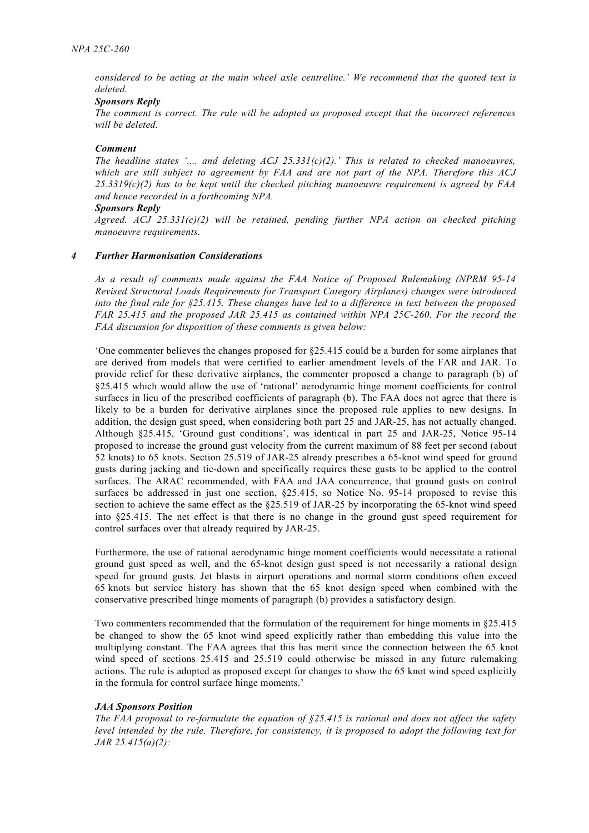*considered to be acting at the main wheel axle centreline.' We recommend that the quoted text is deleted.*

# *Sponsors Reply*

*The comment is correct. The rule will be adopted as proposed except that the incorrect references will be deleted.*

## *Comment*

*The headline states '.... and deleting ACJ 25.331(c)(2).' This is related to checked manoeuvres, which are still subject to agreement by FAA and are not part of the NPA. Therefore this ACJ 25.3319(c)(2) has to be kept until the checked pitching manoeuvre requirement is agreed by FAA and hence recorded in a forthcoming NPA.*

#### *Sponsors Reply*

*Agreed. ACJ 25.331(c)(2) will be retained, pending further NPA action on checked pitching manoeuvre requirements.*

## *4 Further Harmonisation Considerations*

*As a result of comments made against the FAA Notice of Proposed Rulemaking (NPRM 95-14 Revised Structural Loads Requirements for Transport Category Airplanes) changes were introduced into the final rule for §25.415. These changes have led to a difference in text between the proposed FAR 25.415 and the proposed JAR 25.415 as contained within NPA 25C-260. For the record the FAA discussion for disposition of these comments is given below:*

'One commenter believes the changes proposed for §25.415 could be a burden for some airplanes that are derived from models that were certified to earlier amendment levels of the FAR and JAR. To provide relief for these derivative airplanes, the commenter proposed a change to paragraph (b) of §25.415 which would allow the use of 'rational' aerodynamic hinge moment coefficients for control surfaces in lieu of the prescribed coefficients of paragraph (b). The FAA does not agree that there is likely to be a burden for derivative airplanes since the proposed rule applies to new designs. In addition, the design gust speed, when considering both part 25 and JAR-25, has not actually changed. Although §25.415, 'Ground gust conditions', was identical in part 25 and JAR-25, Notice 95-14 proposed to increase the ground gust velocity from the current maximum of 88 feet per second (about 52 knots) to 65 knots. Section 25.519 of JAR-25 already prescribes a 65-knot wind speed for ground gusts during jacking and tie-down and specifically requires these gusts to be applied to the control surfaces. The ARAC recommended, with FAA and JAA concurrence, that ground gusts on control surfaces be addressed in just one section, §25.415, so Notice No. 95-14 proposed to revise this section to achieve the same effect as the §25.519 of JAR-25 by incorporating the 65-knot wind speed into §25.415. The net effect is that there is no change in the ground gust speed requirement for control surfaces over that already required by JAR-25.

Furthermore, the use of rational aerodynamic hinge moment coefficients would necessitate a rational ground gust speed as well, and the 65-knot design gust speed is not necessarily a rational design speed for ground gusts. Jet blasts in airport operations and normal storm conditions often exceed 65 knots but service history has shown that the 65 knot design speed when combined with the conservative prescribed hinge moments of paragraph (b) provides a satisfactory design.

Two commenters recommended that the formulation of the requirement for hinge moments in §25.415 be changed to show the 65 knot wind speed explicitly rather than embedding this value into the multiplying constant. The FAA agrees that this has merit since the connection between the 65 knot wind speed of sections 25.415 and 25.519 could otherwise be missed in any future rulemaking actions. The rule is adopted as proposed except for changes to show the 65 knot wind speed explicitly in the formula for control surface hinge moments.'

# *JAA Sponsors Position*

*The FAA proposal to re-formulate the equation of §25.415 is rational and does not affect the safety level intended by the rule. Therefore, for consistency, it is proposed to adopt the following text for JAR 25.415(a)(2):*